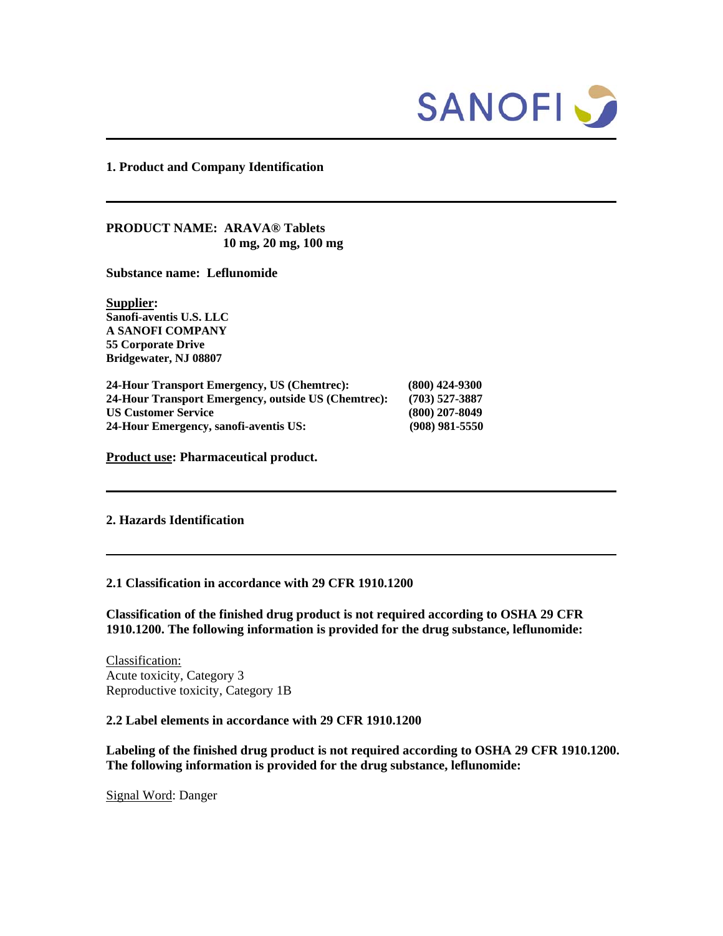

### **1. Product and Company Identification**

**PRODUCT NAME: ARAVA® Tablets 10 mg, 20 mg, 100 mg**

**Substance name: Leflunomide** 

**Supplier: Sanofi-aventis U.S. LLC A SANOFI COMPANY 55 Corporate Drive Bridgewater, NJ 08807** 

**24-Hour Transport Emergency, US (Chemtrec): (800) 424-9300 24-Hour Transport Emergency, outside US (Chemtrec): (703) 527-3887 US Customer Service (800) 207-8049 24-Hour Emergency, sanofi-aventis US: (908) 981-5550**

**Product use: Pharmaceutical product.** 

## **2. Hazards Identification**

#### **2.1 Classification in accordance with 29 CFR 1910.1200**

**Classification of the finished drug product is not required according to OSHA 29 CFR 1910.1200. The following information is provided for the drug substance, leflunomide:** 

Classification: Acute toxicity, Category 3 Reproductive toxicity, Category 1B

## **2.2 Label elements in accordance with 29 CFR 1910.1200**

**Labeling of the finished drug product is not required according to OSHA 29 CFR 1910.1200. The following information is provided for the drug substance, leflunomide:** 

Signal Word: Danger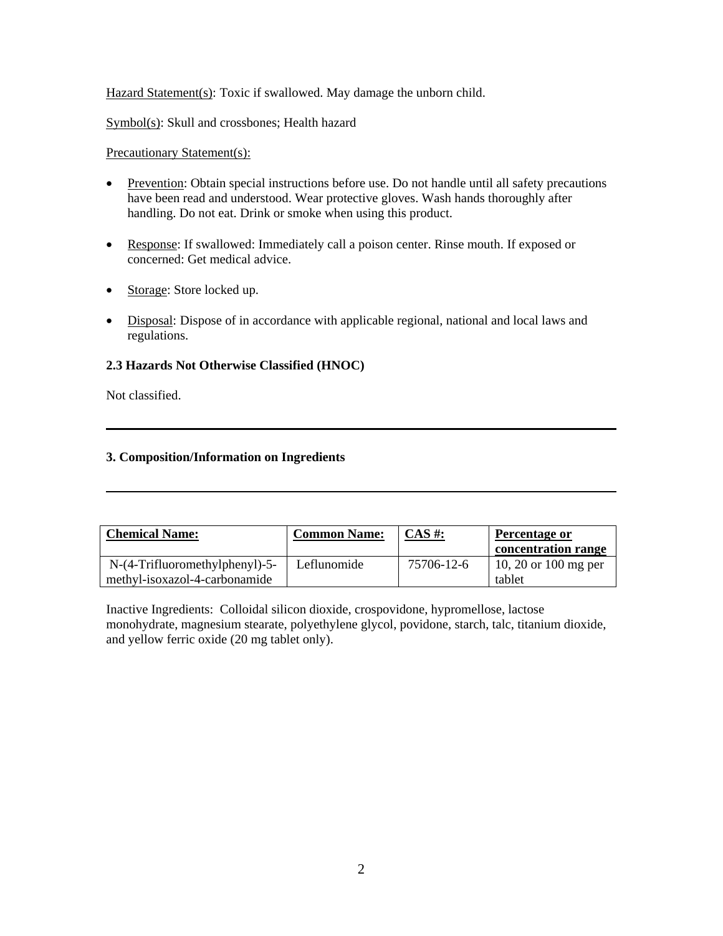Hazard Statement(s): Toxic if swallowed. May damage the unborn child.

Symbol(s): Skull and crossbones; Health hazard

Precautionary Statement(s):

- Prevention: Obtain special instructions before use. Do not handle until all safety precautions have been read and understood. Wear protective gloves. Wash hands thoroughly after handling. Do not eat. Drink or smoke when using this product.
- Response: If swallowed: Immediately call a poison center. Rinse mouth. If exposed or concerned: Get medical advice.
- Storage: Store locked up.
- Disposal: Dispose of in accordance with applicable regional, national and local laws and regulations.

# **2.3 Hazards Not Otherwise Classified (HNOC)**

Not classified.

# **3. Composition/Information on Ingredients**

| <b>Chemical Name:</b>         | <b>Common Name:</b> | $CAS \#$ : | Percentage or        |
|-------------------------------|---------------------|------------|----------------------|
|                               |                     |            | concentration range  |
| $N-(4-Trifluorometry1) - 5$ - | Leflunomide         | 75706-12-6 | 10, 20 or 100 mg per |
| methyl-isoxazol-4-carbonamide |                     |            | tablet               |

Inactive Ingredients: Colloidal silicon dioxide, crospovidone, hypromellose, lactose monohydrate, magnesium stearate, polyethylene glycol, povidone, starch, talc, titanium dioxide, and yellow ferric oxide (20 mg tablet only).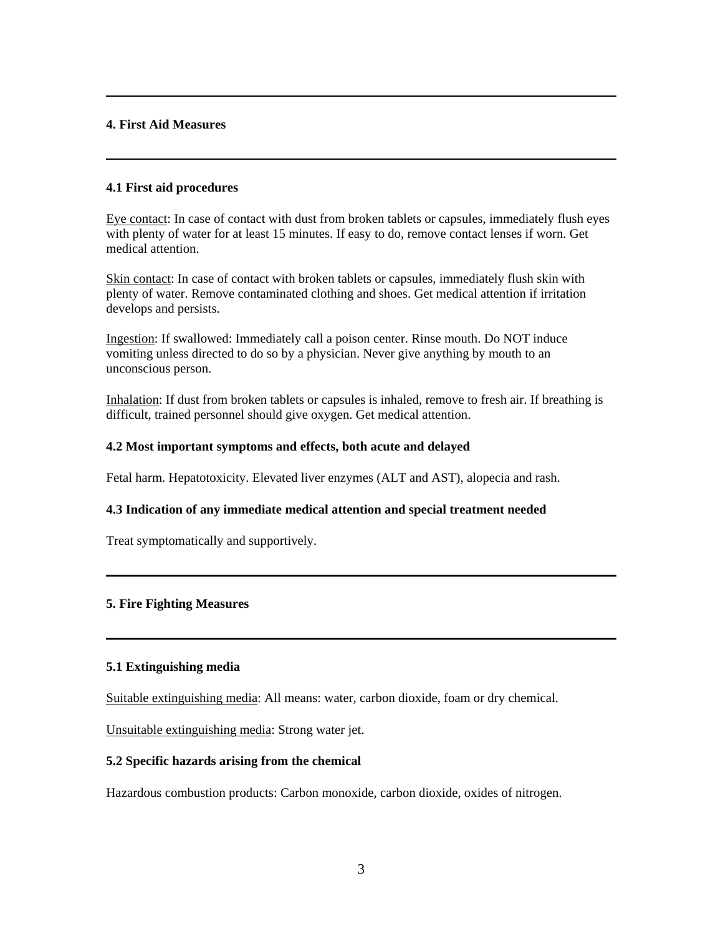# **4. First Aid Measures**

# **4.1 First aid procedures**

Eye contact: In case of contact with dust from broken tablets or capsules, immediately flush eyes with plenty of water for at least 15 minutes. If easy to do, remove contact lenses if worn. Get medical attention.

Skin contact: In case of contact with broken tablets or capsules, immediately flush skin with plenty of water. Remove contaminated clothing and shoes. Get medical attention if irritation develops and persists.

Ingestion: If swallowed: Immediately call a poison center. Rinse mouth. Do NOT induce vomiting unless directed to do so by a physician. Never give anything by mouth to an unconscious person.

Inhalation: If dust from broken tablets or capsules is inhaled, remove to fresh air. If breathing is difficult, trained personnel should give oxygen. Get medical attention.

## **4.2 Most important symptoms and effects, both acute and delayed**

Fetal harm. Hepatotoxicity. Elevated liver enzymes (ALT and AST), alopecia and rash.

### **4.3 Indication of any immediate medical attention and special treatment needed**

Treat symptomatically and supportively.

# **5. Fire Fighting Measures**

### **5.1 Extinguishing media**

Suitable extinguishing media: All means: water, carbon dioxide, foam or dry chemical.

Unsuitable extinguishing media: Strong water jet.

### **5.2 Specific hazards arising from the chemical**

Hazardous combustion products: Carbon monoxide, carbon dioxide, oxides of nitrogen.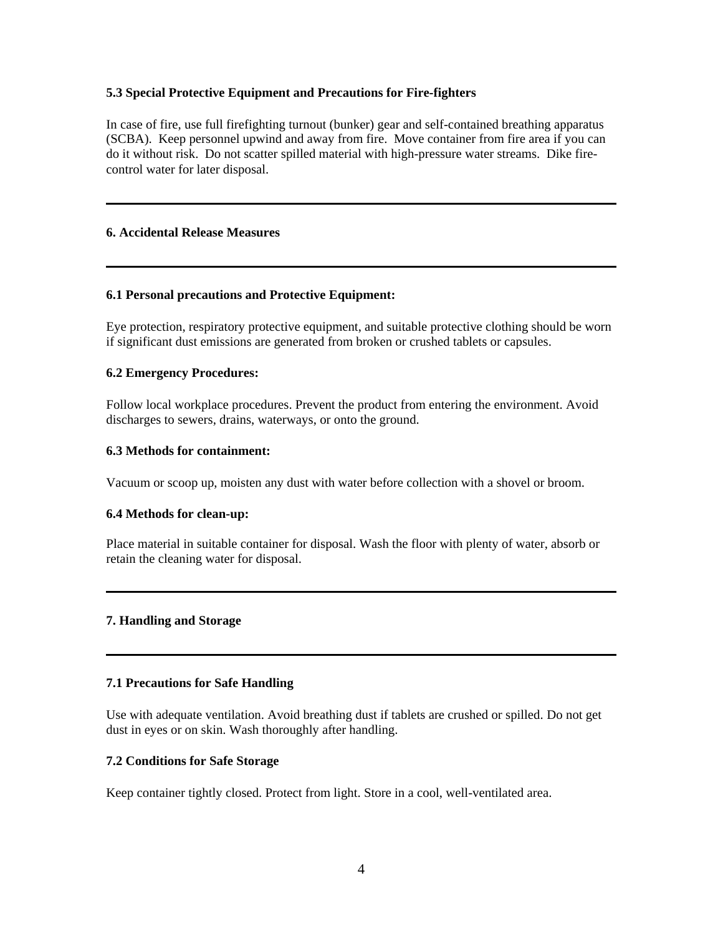## **5.3 Special Protective Equipment and Precautions for Fire-fighters**

In case of fire, use full firefighting turnout (bunker) gear and self-contained breathing apparatus (SCBA). Keep personnel upwind and away from fire. Move container from fire area if you can do it without risk. Do not scatter spilled material with high-pressure water streams. Dike firecontrol water for later disposal.

## **6. Accidental Release Measures**

# **6.1 Personal precautions and Protective Equipment:**

Eye protection, respiratory protective equipment, and suitable protective clothing should be worn if significant dust emissions are generated from broken or crushed tablets or capsules.

## **6.2 Emergency Procedures:**

Follow local workplace procedures. Prevent the product from entering the environment. Avoid discharges to sewers, drains, waterways, or onto the ground.

# **6.3 Methods for containment:**

Vacuum or scoop up, moisten any dust with water before collection with a shovel or broom.

# **6.4 Methods for clean-up:**

Place material in suitable container for disposal. Wash the floor with plenty of water, absorb or retain the cleaning water for disposal.

### **7. Handling and Storage**

# **7.1 Precautions for Safe Handling**

Use with adequate ventilation. Avoid breathing dust if tablets are crushed or spilled. Do not get dust in eyes or on skin. Wash thoroughly after handling.

# **7.2 Conditions for Safe Storage**

Keep container tightly closed. Protect from light. Store in a cool, well-ventilated area.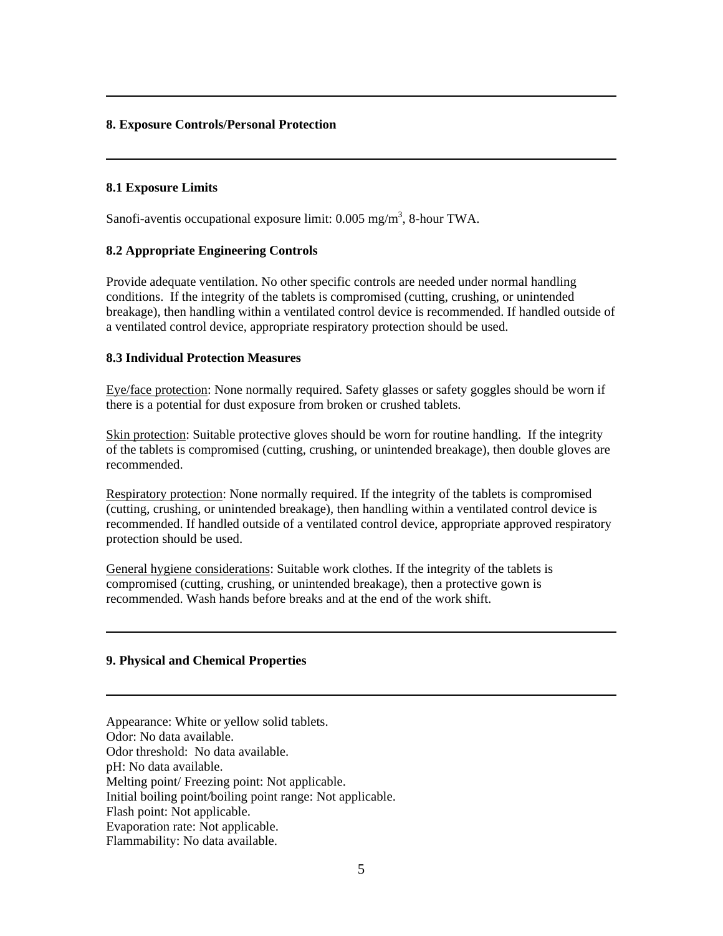# **8. Exposure Controls/Personal Protection**

## **8.1 Exposure Limits**

Sanofi-aventis occupational exposure limit:  $0.005$  mg/m<sup>3</sup>, 8-hour TWA.

# **8.2 Appropriate Engineering Controls**

Provide adequate ventilation. No other specific controls are needed under normal handling conditions. If the integrity of the tablets is compromised (cutting, crushing, or unintended breakage), then handling within a ventilated control device is recommended. If handled outside of a ventilated control device, appropriate respiratory protection should be used.

## **8.3 Individual Protection Measures**

Eye/face protection: None normally required. Safety glasses or safety goggles should be worn if there is a potential for dust exposure from broken or crushed tablets.

Skin protection: Suitable protective gloves should be worn for routine handling. If the integrity of the tablets is compromised (cutting, crushing, or unintended breakage), then double gloves are recommended.

Respiratory protection: None normally required. If the integrity of the tablets is compromised (cutting, crushing, or unintended breakage), then handling within a ventilated control device is recommended. If handled outside of a ventilated control device, appropriate approved respiratory protection should be used.

General hygiene considerations: Suitable work clothes. If the integrity of the tablets is compromised (cutting, crushing, or unintended breakage), then a protective gown is recommended. Wash hands before breaks and at the end of the work shift.

# **9. Physical and Chemical Properties**

Appearance: White or yellow solid tablets. Odor: No data available. Odor threshold: No data available. pH: No data available. Melting point/ Freezing point: Not applicable. Initial boiling point/boiling point range: Not applicable. Flash point: Not applicable. Evaporation rate: Not applicable. Flammability: No data available.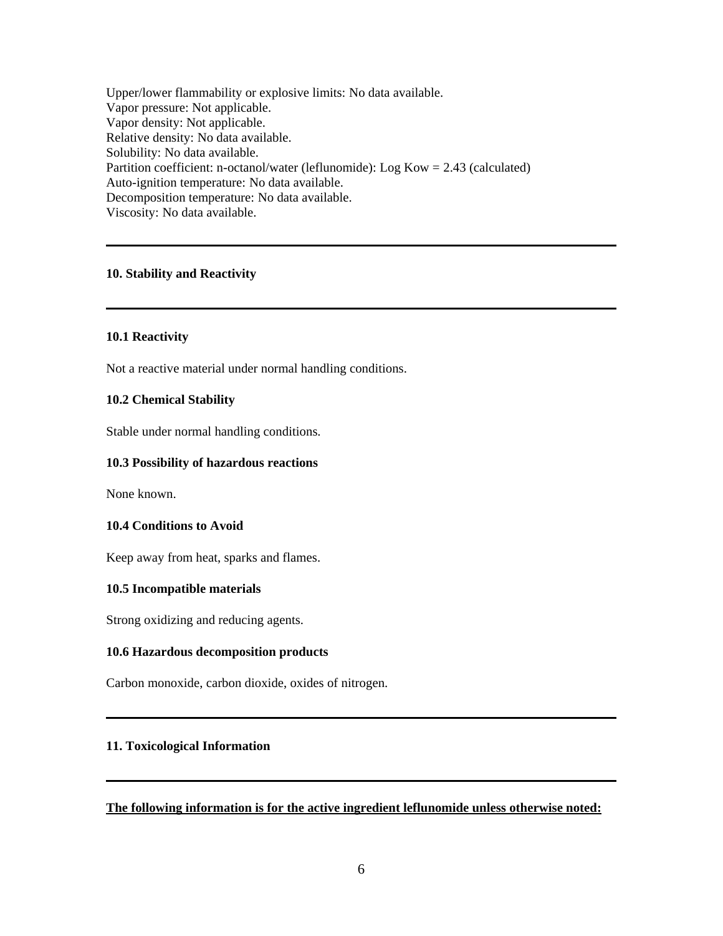Upper/lower flammability or explosive limits: No data available. Vapor pressure: Not applicable. Vapor density: Not applicable. Relative density: No data available. Solubility: No data available. Partition coefficient: n-octanol/water (leflunomide): Log Kow = 2.43 (calculated) Auto-ignition temperature: No data available. Decomposition temperature: No data available. Viscosity: No data available.

## **10. Stability and Reactivity**

### **10.1 Reactivity**

Not a reactive material under normal handling conditions.

#### **10.2 Chemical Stability**

Stable under normal handling conditions.

### **10.3 Possibility of hazardous reactions**

None known.

## **10.4 Conditions to Avoid**

Keep away from heat, sparks and flames.

#### **10.5 Incompatible materials**

Strong oxidizing and reducing agents.

#### **10.6 Hazardous decomposition products**

Carbon monoxide, carbon dioxide, oxides of nitrogen.

## **11. Toxicological Information**

#### **The following information is for the active ingredient leflunomide unless otherwise noted:**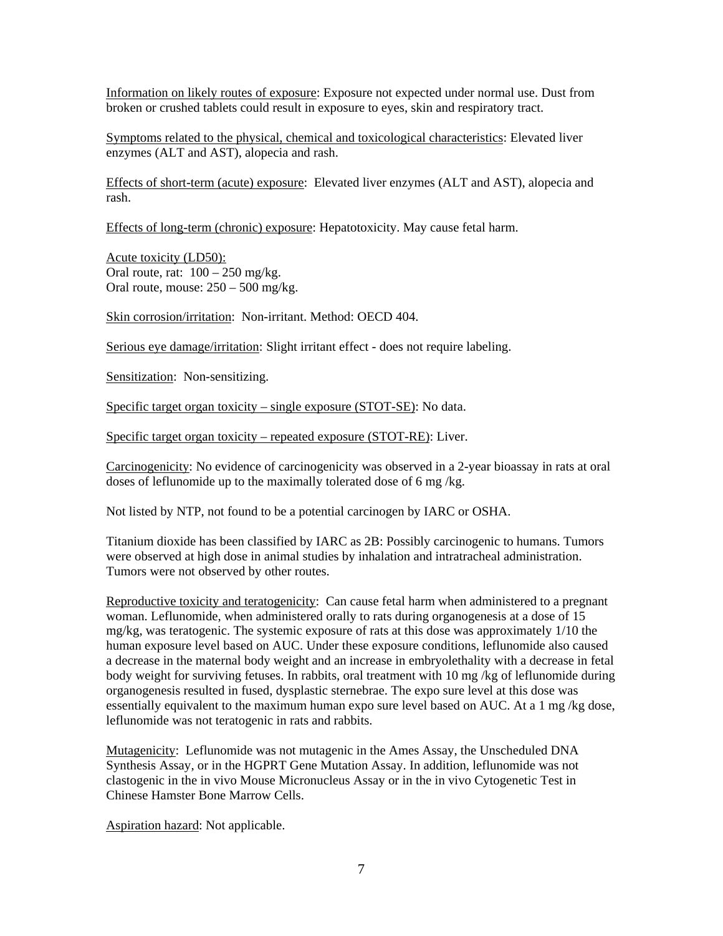Information on likely routes of exposure: Exposure not expected under normal use. Dust from broken or crushed tablets could result in exposure to eyes, skin and respiratory tract.

Symptoms related to the physical, chemical and toxicological characteristics: Elevated liver enzymes (ALT and AST), alopecia and rash.

Effects of short-term (acute) exposure: Elevated liver enzymes (ALT and AST), alopecia and rash.

Effects of long-term (chronic) exposure: Hepatotoxicity. May cause fetal harm.

Acute toxicity (LD50): Oral route, rat:  $100 - 250$  mg/kg. Oral route, mouse: 250 – 500 mg/kg.

Skin corrosion/irritation: Non-irritant. Method: OECD 404.

Serious eye damage/irritation: Slight irritant effect - does not require labeling.

Sensitization: Non-sensitizing.

Specific target organ toxicity – single exposure (STOT-SE): No data.

Specific target organ toxicity – repeated exposure (STOT-RE): Liver.

Carcinogenicity: No evidence of carcinogenicity was observed in a 2-year bioassay in rats at oral doses of leflunomide up to the maximally tolerated dose of 6 mg /kg.

Not listed by NTP, not found to be a potential carcinogen by IARC or OSHA.

Titanium dioxide has been classified by IARC as 2B: Possibly carcinogenic to humans. Tumors were observed at high dose in animal studies by inhalation and intratracheal administration. Tumors were not observed by other routes.

Reproductive toxicity and teratogenicity: Can cause fetal harm when administered to a pregnant woman. Leflunomide, when administered orally to rats during organogenesis at a dose of 15 mg/kg, was teratogenic. The systemic exposure of rats at this dose was approximately 1/10 the human exposure level based on AUC. Under these exposure conditions, leflunomide also caused a decrease in the maternal body weight and an increase in embryolethality with a decrease in fetal body weight for surviving fetuses. In rabbits, oral treatment with 10 mg /kg of leflunomide during organogenesis resulted in fused, dysplastic sternebrae. The expo sure level at this dose was essentially equivalent to the maximum human expo sure level based on AUC. At a 1 mg /kg dose, leflunomide was not teratogenic in rats and rabbits.

Mutagenicity: Leflunomide was not mutagenic in the Ames Assay, the Unscheduled DNA Synthesis Assay, or in the HGPRT Gene Mutation Assay. In addition, leflunomide was not clastogenic in the in vivo Mouse Micronucleus Assay or in the in vivo Cytogenetic Test in Chinese Hamster Bone Marrow Cells.

Aspiration hazard: Not applicable.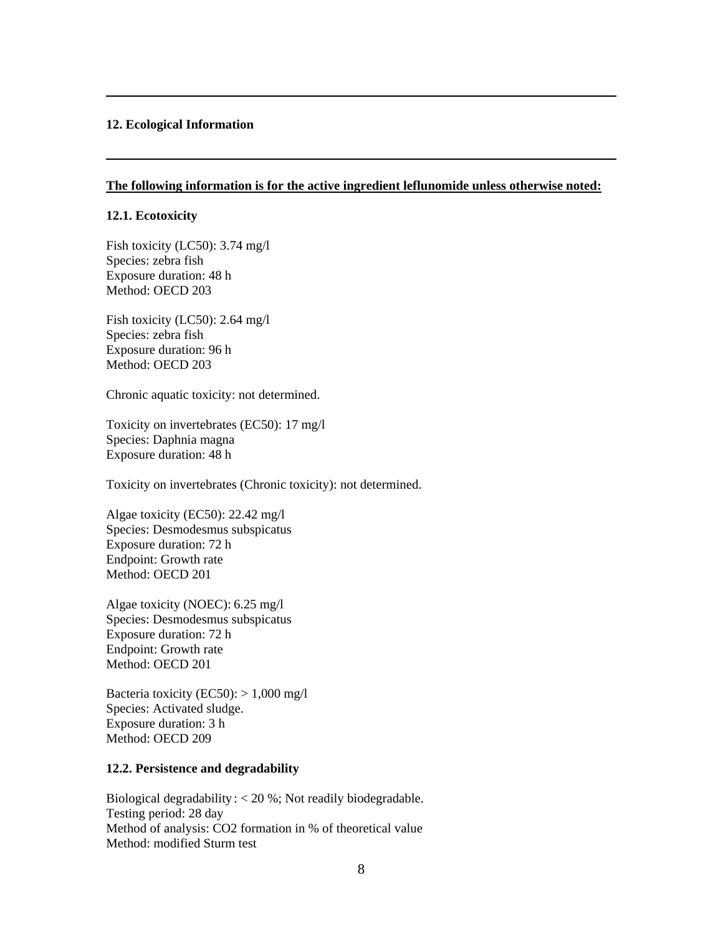### **12. Ecological Information**

## **The following information is for the active ingredient leflunomide unless otherwise noted:**

#### **12.1. Ecotoxicity**

Fish toxicity (LC50): 3.74 mg/l Species: zebra fish Exposure duration: 48 h Method: OECD 203

Fish toxicity (LC50): 2.64 mg/l Species: zebra fish Exposure duration: 96 h Method: OECD 203

Chronic aquatic toxicity: not determined.

Toxicity on invertebrates (EC50): 17 mg/l Species: Daphnia magna Exposure duration: 48 h

Toxicity on invertebrates (Chronic toxicity): not determined.

Algae toxicity (EC50): 22.42 mg/l Species: Desmodesmus subspicatus Exposure duration: 72 h Endpoint: Growth rate Method: OECD 201

Algae toxicity (NOEC): 6.25 mg/l Species: Desmodesmus subspicatus Exposure duration: 72 h Endpoint: Growth rate Method: OECD 201

Bacteria toxicity (EC50):  $> 1,000$  mg/l Species: Activated sludge. Exposure duration: 3 h Method: OECD 209

### **12.2. Persistence and degradability**

Biological degradability : < 20 %; Not readily biodegradable. Testing period: 28 day Method of analysis: CO2 formation in % of theoretical value Method: modified Sturm test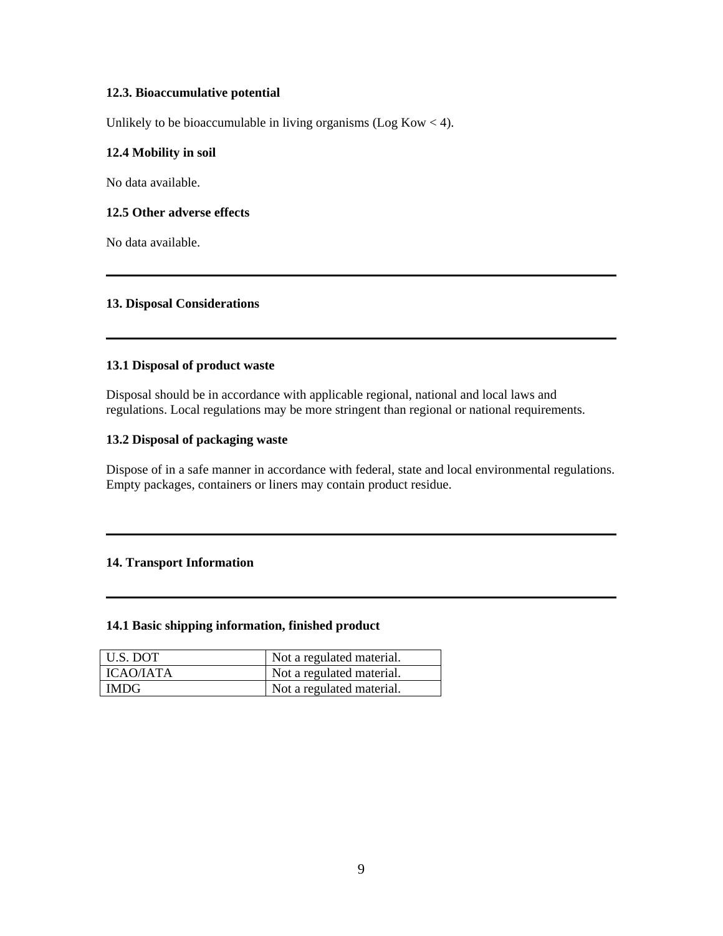# **12.3. Bioaccumulative potential**

Unlikely to be bioaccumulable in living organisms ( $\text{Log Kow} < 4$ ).

## **12.4 Mobility in soil**

No data available.

## **12.5 Other adverse effects**

No data available.

# **13. Disposal Considerations**

## **13.1 Disposal of product waste**

Disposal should be in accordance with applicable regional, national and local laws and regulations. Local regulations may be more stringent than regional or national requirements.

## **13.2 Disposal of packaging waste**

Dispose of in a safe manner in accordance with federal, state and local environmental regulations. Empty packages, containers or liners may contain product residue.

# **14. Transport Information**

## **14.1 Basic shipping information, finished product**

| U.S. DOT         | Not a regulated material. |
|------------------|---------------------------|
| <b>ICAO/IATA</b> | Not a regulated material. |
| <b>IMDG</b>      | Not a regulated material. |